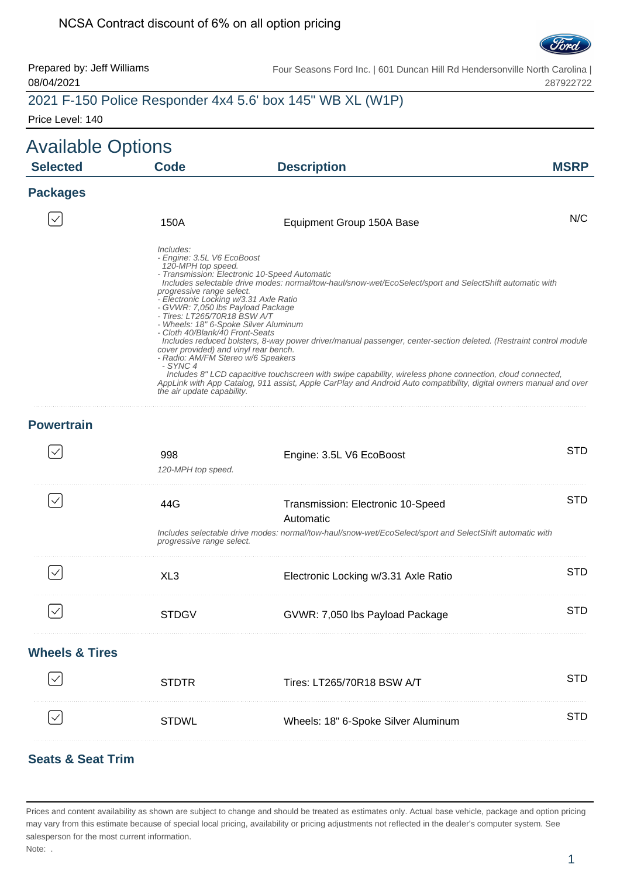

Prepared by: Jeff Williams 08/04/2021 Four Seasons Ford Inc. | 601 Duncan Hill Rd Hendersonville North Carolina | 287922722

## 2021 F-150 Police Responder 4x4 5.6' box 145" WB XL (W1P)

Price Level: 140

| <b>Available Options</b><br><b>Selected</b> | <b>Code</b>                                                                                                                                                                                                                                                                                                                                                           | <b>Description</b>                                                                                                                                                                                                                                                                                                                                                                                                                                                                                                                                         | <b>MSRP</b> |
|---------------------------------------------|-----------------------------------------------------------------------------------------------------------------------------------------------------------------------------------------------------------------------------------------------------------------------------------------------------------------------------------------------------------------------|------------------------------------------------------------------------------------------------------------------------------------------------------------------------------------------------------------------------------------------------------------------------------------------------------------------------------------------------------------------------------------------------------------------------------------------------------------------------------------------------------------------------------------------------------------|-------------|
| <b>Packages</b>                             |                                                                                                                                                                                                                                                                                                                                                                       |                                                                                                                                                                                                                                                                                                                                                                                                                                                                                                                                                            |             |
|                                             | 150A                                                                                                                                                                                                                                                                                                                                                                  | Equipment Group 150A Base                                                                                                                                                                                                                                                                                                                                                                                                                                                                                                                                  | N/C         |
|                                             | Includes:<br>- Engine: 3.5L V6 EcoBoost<br>120-MPH top speed.<br>progressive range select.<br>- Electronic Locking w/3.31 Axle Ratio<br>- GVWR: 7,050 lbs Payload Package<br>- Tires: LT265/70R18 BSW A/T<br>- Cloth 40/Blank/40 Front-Seats<br>cover provided) and vinyl rear bench.<br>- Radio: AM/FM Stereo w/6 Speakers<br>- SYNC 4<br>the air update capability. | - Transmission: Electronic 10-Speed Automatic<br>Includes selectable drive modes: normal/tow-haul/snow-wet/EcoSelect/sport and SelectShift automatic with<br>- Wheels: 18" 6-Spoke Silver Aluminum<br>Includes reduced bolsters, 8-way power driver/manual passenger, center-section deleted. (Restraint control module<br>Includes 8" LCD capacitive touchscreen with swipe capability, wireless phone connection, cloud connected,<br>AppLink with App Catalog, 911 assist, Apple CarPlay and Android Auto compatibility, digital owners manual and over |             |
| <b>Powertrain</b>                           |                                                                                                                                                                                                                                                                                                                                                                       |                                                                                                                                                                                                                                                                                                                                                                                                                                                                                                                                                            |             |
|                                             | 998<br>120-MPH top speed.                                                                                                                                                                                                                                                                                                                                             | Engine: 3.5L V6 EcoBoost                                                                                                                                                                                                                                                                                                                                                                                                                                                                                                                                   | <b>STD</b>  |
| $\checkmark$                                | 44G<br>progressive range select.                                                                                                                                                                                                                                                                                                                                      | Transmission: Electronic 10-Speed<br>Automatic<br>Includes selectable drive modes: normal/tow-haul/snow-wet/EcoSelect/sport and SelectShift automatic with                                                                                                                                                                                                                                                                                                                                                                                                 | <b>STD</b>  |
| $\checkmark$                                | XL <sub>3</sub>                                                                                                                                                                                                                                                                                                                                                       | Electronic Locking w/3.31 Axle Ratio                                                                                                                                                                                                                                                                                                                                                                                                                                                                                                                       | <b>STD</b>  |
|                                             | <b>STDGV</b>                                                                                                                                                                                                                                                                                                                                                          | GVWR: 7,050 lbs Payload Package                                                                                                                                                                                                                                                                                                                                                                                                                                                                                                                            | <b>STD</b>  |
| <b>Wheels &amp; Tires</b>                   |                                                                                                                                                                                                                                                                                                                                                                       |                                                                                                                                                                                                                                                                                                                                                                                                                                                                                                                                                            |             |
|                                             | <b>STDTR</b>                                                                                                                                                                                                                                                                                                                                                          | Tires: LT265/70R18 BSW A/T                                                                                                                                                                                                                                                                                                                                                                                                                                                                                                                                 | <b>STD</b>  |
| $\checkmark$                                | <b>STDWL</b>                                                                                                                                                                                                                                                                                                                                                          | Wheels: 18" 6-Spoke Silver Aluminum                                                                                                                                                                                                                                                                                                                                                                                                                                                                                                                        | <b>STD</b>  |

#### **Seats & Seat Trim**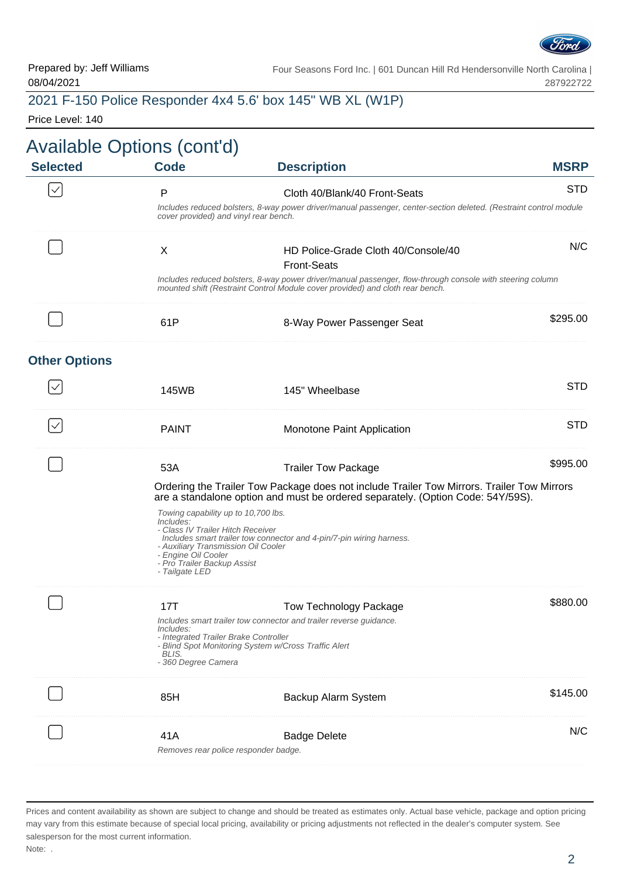

#### 2021 F-150 Police Responder 4x4 5.6' box 145" WB XL (W1P)

Price Level: 140

|                      | <b>Available Options (cont'd)</b>                                                                                                                                                                    |                                                                                                                                                                                            |             |
|----------------------|------------------------------------------------------------------------------------------------------------------------------------------------------------------------------------------------------|--------------------------------------------------------------------------------------------------------------------------------------------------------------------------------------------|-------------|
| <b>Selected</b>      | <b>Code</b>                                                                                                                                                                                          | <b>Description</b>                                                                                                                                                                         | <b>MSRP</b> |
| $\checkmark$         | P                                                                                                                                                                                                    | Cloth 40/Blank/40 Front-Seats                                                                                                                                                              | <b>STD</b>  |
|                      | cover provided) and vinyl rear bench.                                                                                                                                                                | Includes reduced bolsters, 8-way power driver/manual passenger, center-section deleted. (Restraint control module                                                                          |             |
|                      | X                                                                                                                                                                                                    | HD Police-Grade Cloth 40/Console/40<br><b>Front-Seats</b>                                                                                                                                  | N/C         |
|                      |                                                                                                                                                                                                      | Includes reduced bolsters, 8-way power driver/manual passenger, flow-through console with steering column<br>mounted shift (Restraint Control Module cover provided) and cloth rear bench. |             |
|                      | 61P                                                                                                                                                                                                  | 8-Way Power Passenger Seat                                                                                                                                                                 | \$295.00    |
| <b>Other Options</b> |                                                                                                                                                                                                      |                                                                                                                                                                                            |             |
|                      | 145WB                                                                                                                                                                                                | 145" Wheelbase                                                                                                                                                                             | <b>STD</b>  |
| $\checkmark$         | <b>PAINT</b>                                                                                                                                                                                         | Monotone Paint Application                                                                                                                                                                 | <b>STD</b>  |
|                      | 53A                                                                                                                                                                                                  | <b>Trailer Tow Package</b>                                                                                                                                                                 | \$995.00    |
|                      |                                                                                                                                                                                                      | Ordering the Trailer Tow Package does not include Trailer Tow Mirrors. Trailer Tow Mirrors<br>are a standalone option and must be ordered separately. (Option Code: 54Y/59S).              |             |
|                      | Towing capability up to 10,700 lbs.<br>Includes:<br>- Class IV Trailer Hitch Receiver<br>- Auxiliary Transmission Oil Cooler<br>- Engine Oil Cooler<br>- Pro Trailer Backup Assist<br>- Tailgate LED | Includes smart trailer tow connector and 4-pin/7-pin wiring harness.                                                                                                                       |             |
|                      | 17T                                                                                                                                                                                                  | <b>Tow Technology Package</b>                                                                                                                                                              | \$880.00    |
|                      | <i>Includes:</i><br>- Integrated Trailer Brake Controller<br>BLIS.<br>- 360 Degree Camera                                                                                                            | Includes smart trailer tow connector and trailer reverse guidance.<br>- Blind Spot Monitoring System w/Cross Traffic Alert                                                                 |             |
|                      | 85H                                                                                                                                                                                                  | Backup Alarm System                                                                                                                                                                        | \$145.00    |
|                      | 41A                                                                                                                                                                                                  | <b>Badge Delete</b><br>Removes rear police responder badge.                                                                                                                                | N/C         |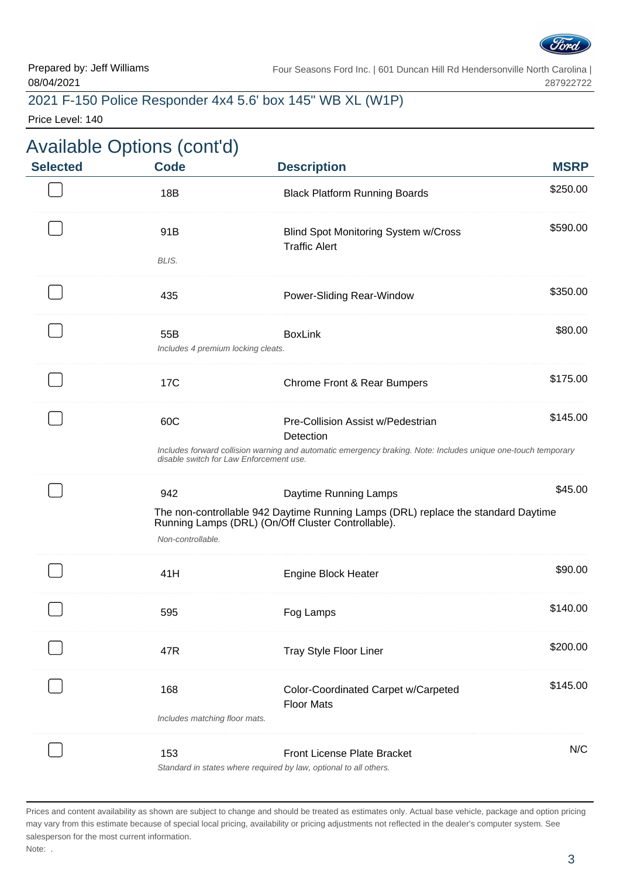

#### 2021 F-150 Police Responder 4x4 5.6' box 145" WB XL (W1P)

Price Level: 140

| <b>Selected</b> | <b>Available Options (cont'd)</b><br><b>Code</b>                                                                                                         | <b>Description</b>                                                                                                                      | <b>MSRP</b> |  |  |
|-----------------|----------------------------------------------------------------------------------------------------------------------------------------------------------|-----------------------------------------------------------------------------------------------------------------------------------------|-------------|--|--|
|                 | 18B                                                                                                                                                      | <b>Black Platform Running Boards</b>                                                                                                    | \$250.00    |  |  |
|                 | 91B                                                                                                                                                      | <b>Blind Spot Monitoring System w/Cross</b><br><b>Traffic Alert</b>                                                                     | \$590.00    |  |  |
|                 | BLIS.                                                                                                                                                    |                                                                                                                                         |             |  |  |
|                 | 435                                                                                                                                                      | Power-Sliding Rear-Window                                                                                                               | \$350.00    |  |  |
|                 | 55B<br>Includes 4 premium locking cleats.                                                                                                                | <b>BoxLink</b>                                                                                                                          | \$80.00     |  |  |
|                 | 17C                                                                                                                                                      | Chrome Front & Rear Bumpers                                                                                                             | \$175.00    |  |  |
|                 | 60C                                                                                                                                                      | Pre-Collision Assist w/Pedestrian<br>Detection                                                                                          | \$145.00    |  |  |
|                 | Includes forward collision warning and automatic emergency braking. Note: Includes unique one-touch temporary<br>disable switch for Law Enforcement use. |                                                                                                                                         |             |  |  |
|                 | 942                                                                                                                                                      | Daytime Running Lamps                                                                                                                   | \$45.00     |  |  |
|                 | Non-controllable.                                                                                                                                        | The non-controllable 942 Daytime Running Lamps (DRL) replace the standard Daytime<br>Running Lamps (DRL) (On/Off Cluster Controllable). |             |  |  |
|                 | 41H                                                                                                                                                      | <b>Engine Block Heater</b>                                                                                                              | \$90.00     |  |  |
|                 | 595                                                                                                                                                      | Fog Lamps                                                                                                                               | \$140.00    |  |  |
|                 | 47R                                                                                                                                                      | Tray Style Floor Liner                                                                                                                  | \$200.00    |  |  |
|                 | 168                                                                                                                                                      | Color-Coordinated Carpet w/Carpeted                                                                                                     | \$145.00    |  |  |
|                 | Includes matching floor mats.                                                                                                                            | <b>Floor Mats</b>                                                                                                                       |             |  |  |
|                 | 153                                                                                                                                                      | <b>Front License Plate Bracket</b>                                                                                                      | N/C         |  |  |
|                 |                                                                                                                                                          | Standard in states where required by law, optional to all others.                                                                       |             |  |  |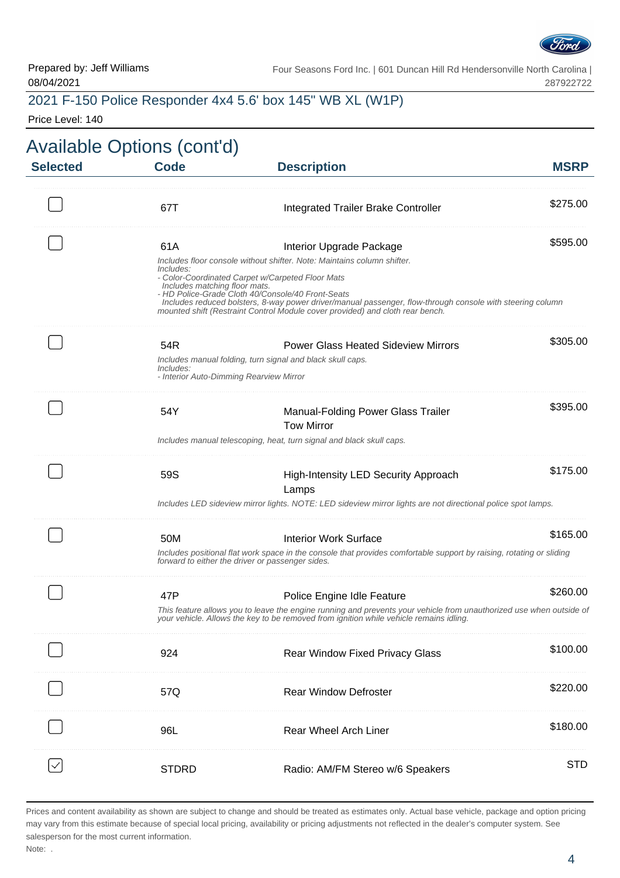

### 2021 F-150 Police Responder 4x4 5.6' box 145" WB XL (W1P)

Price Level: 140

| <b>Selected</b> | <b>Code</b>                                              | <b>Description</b>                                                                                                                                                                                                                              | <b>MSRP</b> |
|-----------------|----------------------------------------------------------|-------------------------------------------------------------------------------------------------------------------------------------------------------------------------------------------------------------------------------------------------|-------------|
|                 | 67T                                                      | Integrated Trailer Brake Controller                                                                                                                                                                                                             | \$275.00    |
|                 | 61A<br><i>Includes:</i><br>Includes matching floor mats. | Interior Upgrade Package<br>Includes floor console without shifter. Note: Maintains column shifter.<br>- Color-Coordinated Carpet w/Carpeted Floor Mats                                                                                         | \$595.00    |
|                 |                                                          | - HD Police-Grade Cloth 40/Console/40 Front-Seats<br>Includes reduced bolsters, 8-way power driver/manual passenger, flow-through console with steering column<br>mounted shift (Restraint Control Module cover provided) and cloth rear bench. |             |
|                 | 54R<br>Includes:                                         | <b>Power Glass Heated Sideview Mirrors</b><br>Includes manual folding, turn signal and black skull caps.<br>- Interior Auto-Dimming Rearview Mirror                                                                                             | \$305.00    |
|                 | 54Y                                                      | Manual-Folding Power Glass Trailer<br><b>Tow Mirror</b><br>Includes manual telescoping, heat, turn signal and black skull caps.                                                                                                                 | \$395.00    |
|                 | 59S                                                      | High-Intensity LED Security Approach<br>Lamps<br>Includes LED sideview mirror lights. NOTE: LED sideview mirror lights are not directional police spot lamps.                                                                                   | \$175.00    |
|                 | 50M                                                      | <b>Interior Work Surface</b><br>Includes positional flat work space in the console that provides comfortable support by raising, rotating or sliding<br>forward to either the driver or passenger sides.                                        | \$165.00    |
|                 | 47P                                                      | Police Engine Idle Feature<br>This feature allows you to leave the engine running and prevents your vehicle from unauthorized use when outside of<br>your vehicle. Allows the key to be removed from ignition while vehicle remains idling.     | \$260.00    |
|                 | 924                                                      | Rear Window Fixed Privacy Glass                                                                                                                                                                                                                 | \$100.00    |
|                 | 57Q                                                      | <b>Rear Window Defroster</b>                                                                                                                                                                                                                    | \$220.00    |
|                 | 96L                                                      | <b>Rear Wheel Arch Liner</b>                                                                                                                                                                                                                    | \$180.00    |
|                 | <b>STDRD</b>                                             | Radio: AM/FM Stereo w/6 Speakers                                                                                                                                                                                                                | <b>STD</b>  |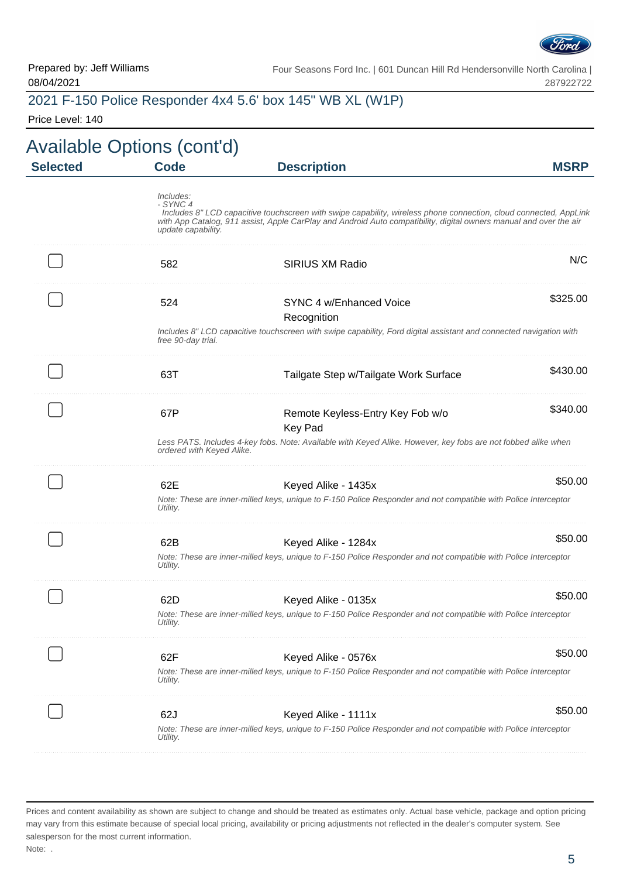

### 2021 F-150 Police Responder 4x4 5.6' box 145" WB XL (W1P)

Price Level: 140

| <b>MSRP</b> | <b>Description</b>                                                                                                                                                                                                                      | <b>Code</b>                                 | <b>Selected</b> |
|-------------|-----------------------------------------------------------------------------------------------------------------------------------------------------------------------------------------------------------------------------------------|---------------------------------------------|-----------------|
|             | Includes 8" LCD capacitive touchscreen with swipe capability, wireless phone connection, cloud connected, AppLink<br>with App Catalog, 911 assist, Apple CarPlay and Android Auto compatibility, digital owners manual and over the air | Includes:<br>- SYNC 4<br>update capability. |                 |
| N/C         | SIRIUS XM Radio                                                                                                                                                                                                                         | 582                                         |                 |
| \$325.00    | SYNC 4 w/Enhanced Voice<br>Recognition                                                                                                                                                                                                  | 524                                         |                 |
|             | Includes 8" LCD capacitive touchscreen with swipe capability, Ford digital assistant and connected navigation with                                                                                                                      | free 90-day trial.                          |                 |
| \$430.00    | Tailgate Step w/Tailgate Work Surface                                                                                                                                                                                                   | 63T                                         |                 |
| \$340.00    | Remote Keyless-Entry Key Fob w/o<br><b>Key Pad</b><br>Less PATS. Includes 4-key fobs. Note: Available with Keyed Alike. However, key fobs are not fobbed alike when                                                                     | 67P                                         |                 |
|             |                                                                                                                                                                                                                                         | ordered with Keyed Alike.                   |                 |
| \$50.00     | Keyed Alike - 1435x<br>Note: These are inner-milled keys, unique to F-150 Police Responder and not compatible with Police Interceptor                                                                                                   | 62E<br>Utility.                             |                 |
| \$50.00     | Keyed Alike - 1284x<br>Note: These are inner-milled keys, unique to F-150 Police Responder and not compatible with Police Interceptor                                                                                                   | 62B<br>Utility.                             |                 |
| \$50.00     | Keyed Alike - 0135x<br>Note: These are inner-milled keys, unique to F-150 Police Responder and not compatible with Police Interceptor                                                                                                   | 62D<br>Utility.                             |                 |
| \$50.00     | Keyed Alike - 0576x<br>Note: These are inner-milled keys, unique to F-150 Police Responder and not compatible with Police Interceptor                                                                                                   | 62F<br>Utility.                             |                 |
| \$50.00     | Keyed Alike - 1111x<br>Note: These are inner-milled keys, unique to F-150 Police Responder and not compatible with Police Interceptor                                                                                                   | 62J<br>Utility.                             |                 |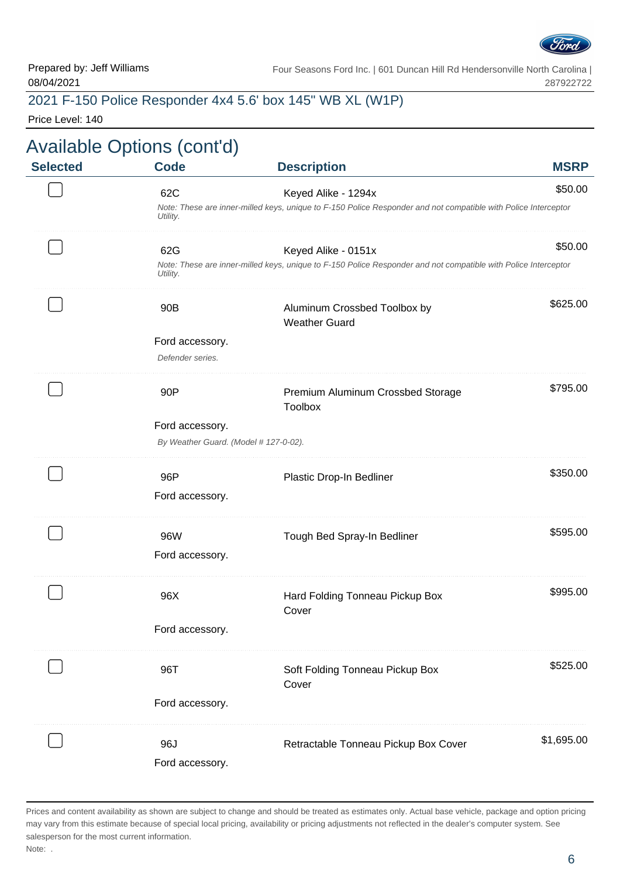

#### 2021 F-150 Police Responder 4x4 5.6' box 145" WB XL (W1P)

Price Level: 140

|                 | <b>Available Options (cont'd)</b>     |                                                                                                                |             |
|-----------------|---------------------------------------|----------------------------------------------------------------------------------------------------------------|-------------|
| <b>Selected</b> | <b>Code</b>                           | <b>Description</b>                                                                                             | <b>MSRP</b> |
|                 | 62C                                   | Keyed Alike - 1294x                                                                                            | \$50.00     |
|                 | Utility.                              | Note: These are inner-milled keys, unique to F-150 Police Responder and not compatible with Police Interceptor |             |
|                 | 62G                                   | Keyed Alike - 0151x                                                                                            | \$50.00     |
|                 | Utility.                              | Note: These are inner-milled keys, unique to F-150 Police Responder and not compatible with Police Interceptor |             |
|                 | 90 <sub>B</sub>                       | Aluminum Crossbed Toolbox by                                                                                   | \$625.00    |
|                 |                                       | <b>Weather Guard</b>                                                                                           |             |
|                 | Ford accessory.                       |                                                                                                                |             |
|                 | Defender series.                      |                                                                                                                |             |
|                 | 90P                                   | Premium Aluminum Crossbed Storage<br><b>Toolbox</b>                                                            | \$795.00    |
|                 | Ford accessory.                       |                                                                                                                |             |
|                 | By Weather Guard. (Model # 127-0-02). |                                                                                                                |             |
|                 | 96P                                   | Plastic Drop-In Bedliner                                                                                       | \$350.00    |
|                 | Ford accessory.                       |                                                                                                                |             |
|                 | 96W                                   | Tough Bed Spray-In Bedliner                                                                                    | \$595.00    |
|                 | Ford accessory.                       |                                                                                                                |             |
|                 | 96X                                   | Hard Folding Tonneau Pickup Box                                                                                | \$995.00    |
|                 |                                       | Cover                                                                                                          |             |
|                 | Ford accessory.                       |                                                                                                                |             |
|                 | 96T                                   | Soft Folding Tonneau Pickup Box                                                                                | \$525.00    |
|                 |                                       | Cover                                                                                                          |             |
|                 | Ford accessory.                       |                                                                                                                |             |
|                 | 96J                                   | Retractable Tonneau Pickup Box Cover                                                                           | \$1,695.00  |
|                 | Ford accessory.                       |                                                                                                                |             |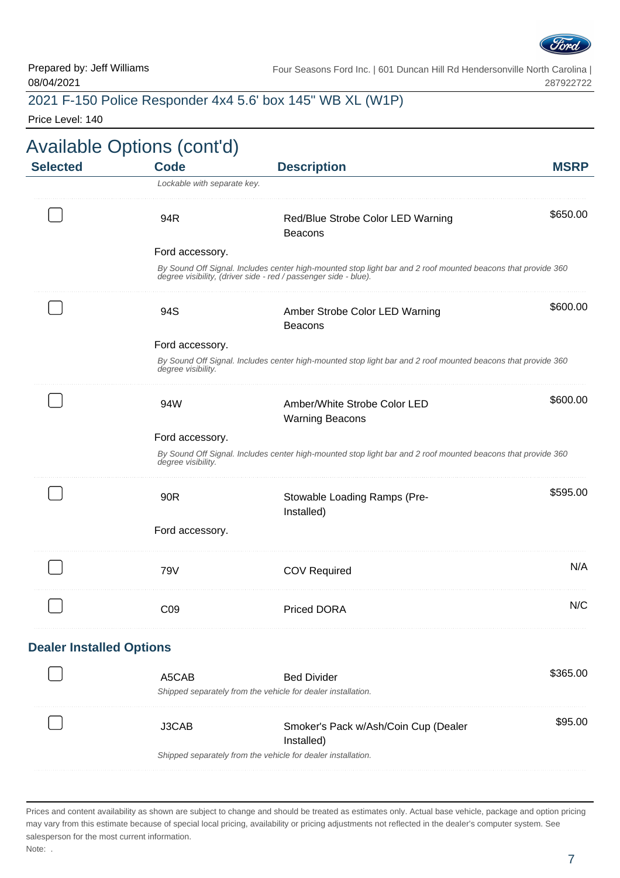

#### 2021 F-150 Police Responder 4x4 5.6' box 145" WB XL (W1P)

Price Level: 140

| <b>Selected</b>                 | <b>Code</b>                                                  | <b>Description</b>                                                                                                                                                              | <b>MSRP</b> |  |  |  |
|---------------------------------|--------------------------------------------------------------|---------------------------------------------------------------------------------------------------------------------------------------------------------------------------------|-------------|--|--|--|
|                                 | Lockable with separate key.                                  |                                                                                                                                                                                 |             |  |  |  |
|                                 | 94R                                                          | Red/Blue Strobe Color LED Warning<br><b>Beacons</b>                                                                                                                             | \$650.00    |  |  |  |
|                                 | Ford accessory.                                              |                                                                                                                                                                                 |             |  |  |  |
|                                 |                                                              | By Sound Off Signal. Includes center high-mounted stop light bar and 2 roof mounted beacons that provide 360<br>degree visibility, (driver side - red / passenger side - blue). |             |  |  |  |
|                                 | 94S                                                          | Amber Strobe Color LED Warning<br><b>Beacons</b>                                                                                                                                | \$600.00    |  |  |  |
|                                 | Ford accessory.                                              |                                                                                                                                                                                 |             |  |  |  |
|                                 | degree visibility.                                           | By Sound Off Signal. Includes center high-mounted stop light bar and 2 roof mounted beacons that provide 360                                                                    |             |  |  |  |
|                                 | 94W                                                          | Amber/White Strobe Color LED<br><b>Warning Beacons</b>                                                                                                                          | \$600.00    |  |  |  |
|                                 | Ford accessory.                                              |                                                                                                                                                                                 |             |  |  |  |
|                                 | degree visibility.                                           | By Sound Off Signal. Includes center high-mounted stop light bar and 2 roof mounted beacons that provide 360                                                                    |             |  |  |  |
|                                 | 90R                                                          | Stowable Loading Ramps (Pre-<br>Installed)                                                                                                                                      | \$595.00    |  |  |  |
|                                 | Ford accessory.                                              |                                                                                                                                                                                 |             |  |  |  |
|                                 | 79V                                                          | <b>COV Required</b>                                                                                                                                                             | N/A         |  |  |  |
|                                 | C <sub>09</sub>                                              | <b>Priced DORA</b>                                                                                                                                                              | N/C         |  |  |  |
| <b>Dealer Installed Options</b> |                                                              |                                                                                                                                                                                 |             |  |  |  |
|                                 | A5CAB                                                        | <b>Bed Divider</b>                                                                                                                                                              | \$365.00    |  |  |  |
|                                 | Shipped separately from the vehicle for dealer installation. |                                                                                                                                                                                 |             |  |  |  |
|                                 | J3CAB                                                        | Smoker's Pack w/Ash/Coin Cup (Dealer<br>Installed)                                                                                                                              | \$95.00     |  |  |  |
|                                 | Shipped separately from the vehicle for dealer installation. |                                                                                                                                                                                 |             |  |  |  |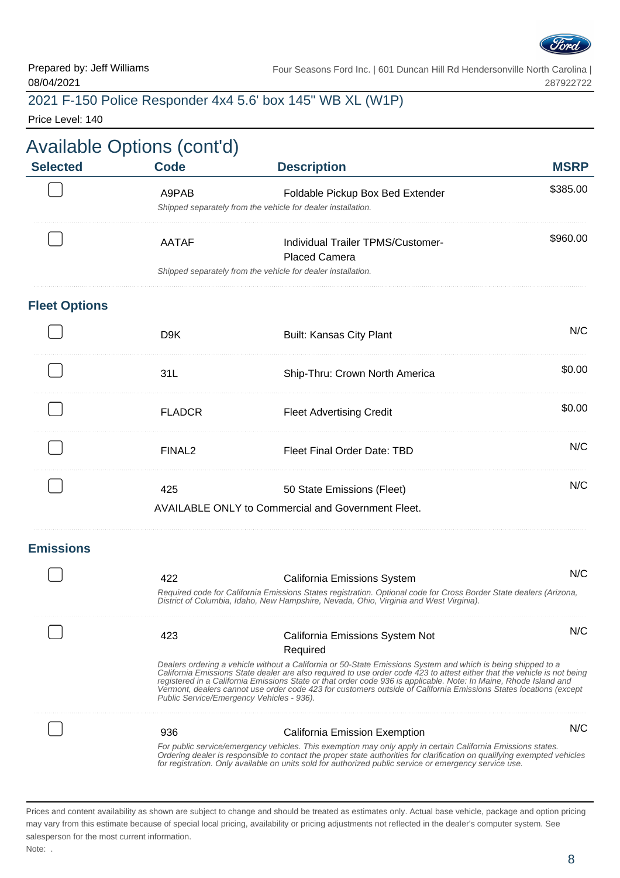

#### 2021 F-150 Police Responder 4x4 5.6' box 145" WB XL (W1P)

Price Level: 140

| <b>Selected</b>      | <b>Available Options (cont'd)</b><br><b>Code</b> | <b>Description</b>                                                                                                                                                                                                                                                                                                                                                                                                                                                                 | <b>MSRP</b> |
|----------------------|--------------------------------------------------|------------------------------------------------------------------------------------------------------------------------------------------------------------------------------------------------------------------------------------------------------------------------------------------------------------------------------------------------------------------------------------------------------------------------------------------------------------------------------------|-------------|
|                      | A9PAB                                            | Foldable Pickup Box Bed Extender<br>Shipped separately from the vehicle for dealer installation.                                                                                                                                                                                                                                                                                                                                                                                   | \$385.00    |
|                      | <b>AATAF</b>                                     | Individual Trailer TPMS/Customer-<br><b>Placed Camera</b>                                                                                                                                                                                                                                                                                                                                                                                                                          | \$960.00    |
|                      |                                                  | Shipped separately from the vehicle for dealer installation.                                                                                                                                                                                                                                                                                                                                                                                                                       |             |
| <b>Fleet Options</b> |                                                  |                                                                                                                                                                                                                                                                                                                                                                                                                                                                                    |             |
|                      | D <sub>9</sub> K                                 | <b>Built: Kansas City Plant</b>                                                                                                                                                                                                                                                                                                                                                                                                                                                    | N/C         |
|                      | 31L                                              | Ship-Thru: Crown North America                                                                                                                                                                                                                                                                                                                                                                                                                                                     | \$0.00      |
|                      | <b>FLADCR</b>                                    | <b>Fleet Advertising Credit</b>                                                                                                                                                                                                                                                                                                                                                                                                                                                    | \$0.00      |
|                      | FINAL <sub>2</sub>                               | <b>Fleet Final Order Date: TBD</b>                                                                                                                                                                                                                                                                                                                                                                                                                                                 | N/C         |
|                      | 425                                              | 50 State Emissions (Fleet)                                                                                                                                                                                                                                                                                                                                                                                                                                                         | N/C         |
|                      |                                                  | <b>AVAILABLE ONLY to Commercial and Government Fleet.</b>                                                                                                                                                                                                                                                                                                                                                                                                                          |             |
| <b>Emissions</b>     |                                                  |                                                                                                                                                                                                                                                                                                                                                                                                                                                                                    |             |
|                      | 422                                              | <b>California Emissions System</b>                                                                                                                                                                                                                                                                                                                                                                                                                                                 | N/C         |
|                      |                                                  | Required code for California Emissions States registration. Optional code for Cross Border State dealers (Arizona,<br>District of Columbia, Idaho, New Hampshire, Nevada, Ohio, Virginia and West Virginia).                                                                                                                                                                                                                                                                       |             |
|                      | 423                                              | California Emissions System Not                                                                                                                                                                                                                                                                                                                                                                                                                                                    | N/C         |
|                      |                                                  | Required                                                                                                                                                                                                                                                                                                                                                                                                                                                                           |             |
|                      | Public Service/Emergency Vehicles - 936).        | Dealers ordering a vehicle without a California or 50-State Emissions System and which is being shipped to a<br>California Emissions State dealer are also required to use order code 423 to attest either that the vehicle is not being<br>registered in a California Emissions State or that order code 936 is applicable. Note: In Maine, Rhode Island and<br>Vermont, dealers cannot use order code 423 for customers outside of California Emissions States locations (except |             |
|                      | 936                                              | California Emission Exemption                                                                                                                                                                                                                                                                                                                                                                                                                                                      | N/C         |
|                      |                                                  | For public service/emergency vehicles. This exemption may only apply in certain California Emissions states.<br>Ordering dealer is responsible to contact the proper state authorities for clarification on qualifying exempted vehicles<br>for registration. Only available on units sold for authorized public service or emergency service use.                                                                                                                                 |             |